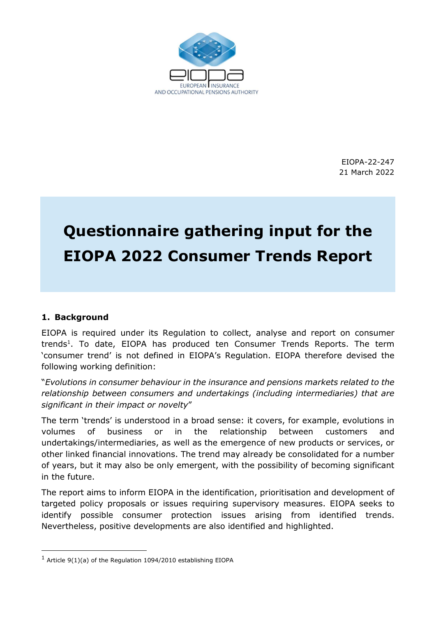

EIOPA-22-247 21 March 2022

# Questionnaire gathering input for the EIOPA 2022 Consumer Trends Report

# 1. Background

-

EIOPA is required under its Regulation to collect, analyse and report on consumer trends<sup>1</sup>. To date, EIOPA has produced ten Consumer Trends Reports. The term 'consumer trend' is not defined in EIOPA's Regulation. EIOPA therefore devised the following working definition:

"Evolutions in consumer behaviour in the insurance and pensions markets related to the relationship between consumers and undertakings (including intermediaries) that are significant in their impact or novelty"

The term 'trends' is understood in a broad sense: it covers, for example, evolutions in volumes of business or in the relationship between customers and undertakings/intermediaries, as well as the emergence of new products or services, or other linked financial innovations. The trend may already be consolidated for a number of years, but it may also be only emergent, with the possibility of becoming significant in the future.

The report aims to inform EIOPA in the identification, prioritisation and development of targeted policy proposals or issues requiring supervisory measures. EIOPA seeks to identify possible consumer protection issues arising from identified trends. Nevertheless, positive developments are also identified and highlighted.

 $1$  Article 9(1)(a) of the Regulation 1094/2010 establishing EIOPA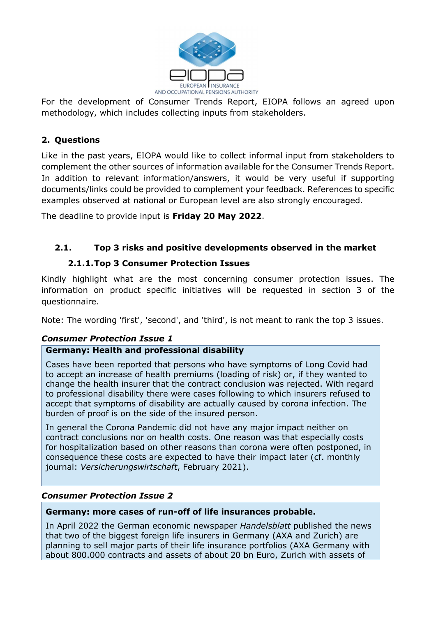

For the development of Consumer Trends Report, EIOPA follows an agreed upon methodology, which includes collecting inputs from stakeholders.

# 2. Questions

Like in the past years, EIOPA would like to collect informal input from stakeholders to complement the other sources of information available for the Consumer Trends Report. In addition to relevant information/answers, it would be very useful if supporting documents/links could be provided to complement your feedback. References to specific examples observed at national or European level are also strongly encouraged.

The deadline to provide input is **Friday 20 May 2022**.

# 2.1. Top 3 risks and positive developments observed in the market

# 2.1.1.Top 3 Consumer Protection Issues

Kindly highlight what are the most concerning consumer protection issues. The information on product specific initiatives will be requested in section 3 of the questionnaire.

Note: The wording 'first', 'second', and 'third', is not meant to rank the top 3 issues.

# Consumer Protection Issue 1

# Germany: Health and professional disability

Cases have been reported that persons who have symptoms of Long Covid had to accept an increase of health premiums (loading of risk) or, if they wanted to change the health insurer that the contract conclusion was rejected. With regard to professional disability there were cases following to which insurers refused to accept that symptoms of disability are actually caused by corona infection. The burden of proof is on the side of the insured person.

In general the Corona Pandemic did not have any major impact neither on contract conclusions nor on health costs. One reason was that especially costs for hospitalization based on other reasons than corona were often postponed, in consequence these costs are expected to have their impact later (cf. monthly journal: Versicherungswirtschaft, February 2021).

## Consumer Protection Issue 2

## Germany: more cases of run-off of life insurances probable.

In April 2022 the German economic newspaper Handelsblatt published the news that two of the biggest foreign life insurers in Germany (AXA and Zurich) are planning to sell major parts of their life insurance portfolios (AXA Germany with about 800.000 contracts and assets of about 20 bn Euro, Zurich with assets of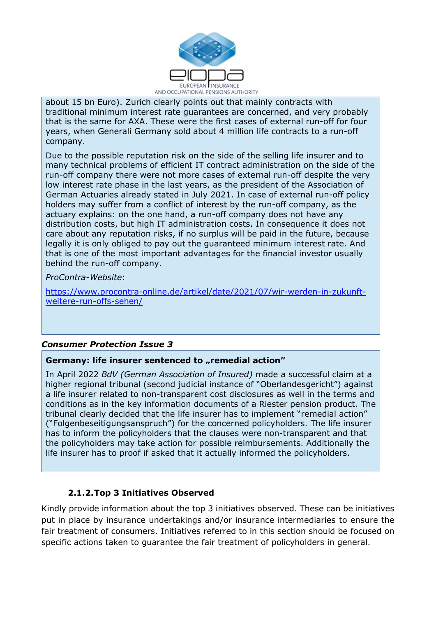

about 15 bn Euro). Zurich clearly points out that mainly contracts with traditional minimum interest rate guarantees are concerned, and very probably that is the same for AXA. These were the first cases of external run-off for four years, when Generali Germany sold about 4 million life contracts to a run-off company.

Due to the possible reputation risk on the side of the selling life insurer and to many technical problems of efficient IT contract administration on the side of the run-off company there were not more cases of external run-off despite the very low interest rate phase in the last years, as the president of the Association of German Actuaries already stated in July 2021. In case of external run-off policy holders may suffer from a conflict of interest by the run-off company, as the actuary explains: on the one hand, a run-off company does not have any distribution costs, but high IT administration costs. In consequence it does not care about any reputation risks, if no surplus will be paid in the future, because legally it is only obliged to pay out the guaranteed minimum interest rate. And that is one of the most important advantages for the financial investor usually behind the run-off company.

ProContra-Website:

l.

https://www.procontra-online.de/artikel/date/2021/07/wir-werden-in-zukunftweitere-run-offs-sehen/

## Consumer Protection Issue 3

#### Germany: life insurer sentenced to "remedial action"

In April 2022 BdV (German Association of Insured) made a successful claim at a higher regional tribunal (second judicial instance of "Oberlandesgericht") against a life insurer related to non-transparent cost disclosures as well in the terms and conditions as in the key information documents of a Riester pension product. The tribunal clearly decided that the life insurer has to implement "remedial action" ("Folgenbeseitigungsanspruch") for the concerned policyholders. The life insurer has to inform the policyholders that the clauses were non-transparent and that the policyholders may take action for possible reimbursements. Additionally the life insurer has to proof if asked that it actually informed the policyholders.

## 2.1.2.Top 3 Initiatives Observed

Kindly provide information about the top 3 initiatives observed. These can be initiatives put in place by insurance undertakings and/or insurance intermediaries to ensure the fair treatment of consumers. Initiatives referred to in this section should be focused on specific actions taken to guarantee the fair treatment of policyholders in general.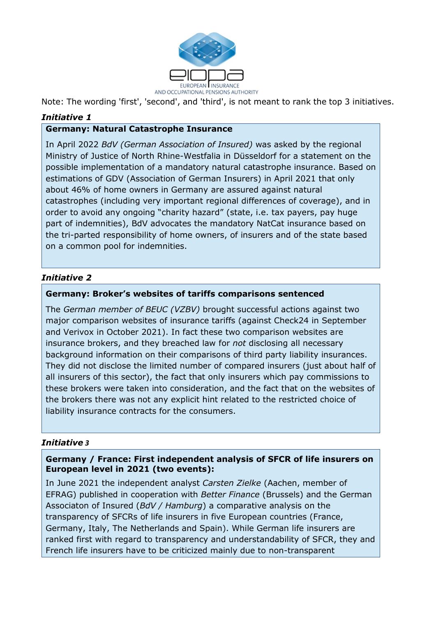

Note: The wording 'first', 'second', and 'third', is not meant to rank the top 3 initiatives.

# Initiative 1

## Germany: Natural Catastrophe Insurance

In April 2022 BdV (German Association of Insured) was asked by the regional Ministry of Justice of North Rhine-Westfalia in Düsseldorf for a statement on the possible implementation of a mandatory natural catastrophe insurance. Based on estimations of GDV (Association of German Insurers) in April 2021 that only about 46% of home owners in Germany are assured against natural catastrophes (including very important regional differences of coverage), and in order to avoid any ongoing "charity hazard" (state, i.e. tax payers, pay huge part of indemnities), BdV advocates the mandatory NatCat insurance based on the tri-parted responsibility of home owners, of insurers and of the state based on a common pool for indemnities.

# Initiative 2

#### Germany: Broker's websites of tariffs comparisons sentenced

The German member of BEUC (VZBV) brought successful actions against two major comparison websites of insurance tariffs (against Check24 in September and Verivox in October 2021). In fact these two comparison websites are insurance brokers, and they breached law for not disclosing all necessary background information on their comparisons of third party liability insurances. They did not disclose the limited number of compared insurers (just about half of all insurers of this sector), the fact that only insurers which pay commissions to these brokers were taken into consideration, and the fact that on the websites of the brokers there was not any explicit hint related to the restricted choice of liability insurance contracts for the consumers.

#### Initiative 3

#### Germany / France: First independent analysis of SFCR of life insurers on European level in 2021 (two events):

In June 2021 the independent analyst Carsten Zielke (Aachen, member of EFRAG) published in cooperation with Better Finance (Brussels) and the German Associaton of Insured (BdV / Hamburg) a comparative analysis on the transparency of SFCRs of life insurers in five European countries (France, Germany, Italy, The Netherlands and Spain). While German life insurers are ranked first with regard to transparency and understandability of SFCR, they and French life insurers have to be criticized mainly due to non-transparent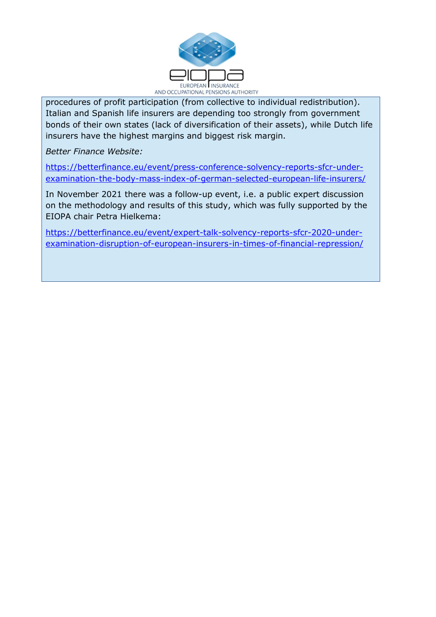

procedures of profit participation (from collective to individual redistribution). Italian and Spanish life insurers are depending too strongly from government bonds of their own states (lack of diversification of their assets), while Dutch life insurers have the highest margins and biggest risk margin.

Better Finance Website:

l.

https://betterfinance.eu/event/press-conference-solvency-reports-sfcr-underexamination-the-body-mass-index-of-german-selected-european-life-insurers/

In November 2021 there was a follow-up event, i.e. a public expert discussion on the methodology and results of this study, which was fully supported by the EIOPA chair Petra Hielkema:

https://betterfinance.eu/event/expert-talk-solvency-reports-sfcr-2020-underexamination-disruption-of-european-insurers-in-times-of-financial-repression/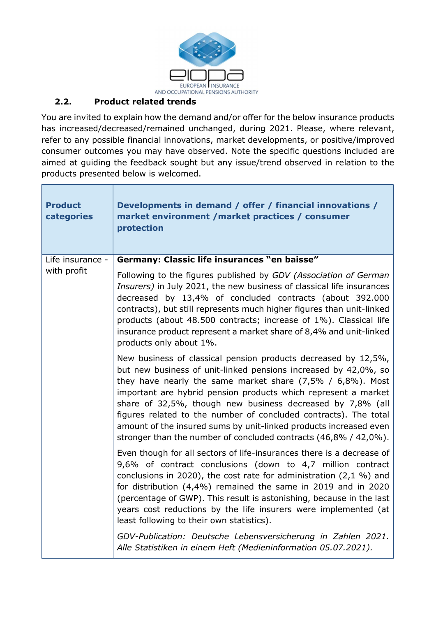

# 2.2. Product related trends

You are invited to explain how the demand and/or offer for the below insurance products has increased/decreased/remained unchanged, during 2021. Please, where relevant, refer to any possible financial innovations, market developments, or positive/improved consumer outcomes you may have observed. Note the specific questions included are aimed at guiding the feedback sought but any issue/trend observed in relation to the products presented below is welcomed.

┓

| <b>Product</b><br>categories | Developments in demand / offer / financial innovations /<br>market environment / market practices / consumer<br>protection                                                                                                                                                                                                                                                                                                                                                                                                                        |
|------------------------------|---------------------------------------------------------------------------------------------------------------------------------------------------------------------------------------------------------------------------------------------------------------------------------------------------------------------------------------------------------------------------------------------------------------------------------------------------------------------------------------------------------------------------------------------------|
| Life insurance -             | Germany: Classic life insurances "en baisse"                                                                                                                                                                                                                                                                                                                                                                                                                                                                                                      |
| with profit                  | Following to the figures published by GDV (Association of German<br>Insurers) in July 2021, the new business of classical life insurances<br>decreased by 13,4% of concluded contracts (about 392.000<br>contracts), but still represents much higher figures than unit-linked<br>products (about 48.500 contracts; increase of 1%). Classical life<br>insurance product represent a market share of 8,4% and unit-linked<br>products only about 1%.                                                                                              |
|                              | New business of classical pension products decreased by 12,5%,<br>but new business of unit-linked pensions increased by 42,0%, so<br>they have nearly the same market share $(7,5\% / 6,8\%)$ . Most<br>important are hybrid pension products which represent a market<br>share of 32,5%, though new business decreased by 7,8% (all<br>figures related to the number of concluded contracts). The total<br>amount of the insured sums by unit-linked products increased even<br>stronger than the number of concluded contracts (46,8% / 42,0%). |
|                              | Even though for all sectors of life-insurances there is a decrease of<br>9,6% of contract conclusions (down to 4,7 million contract<br>conclusions in 2020), the cost rate for administration (2,1 $\%$ ) and<br>for distribution $(4,4\%)$ remained the same in 2019 and in 2020<br>(percentage of GWP). This result is astonishing, because in the last<br>years cost reductions by the life insurers were implemented (at<br>least following to their own statistics).                                                                         |
|                              | GDV-Publication: Deutsche Lebensversicherung in Zahlen 2021.<br>Alle Statistiken in einem Heft (Medieninformation 05.07.2021).                                                                                                                                                                                                                                                                                                                                                                                                                    |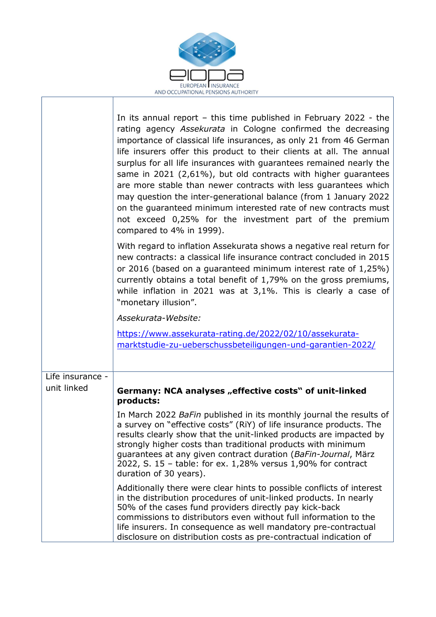

l,

|                  | In its annual report $-$ this time published in February 2022 - the<br>rating agency Assekurata in Cologne confirmed the decreasing<br>importance of classical life insurances, as only 21 from 46 German<br>life insurers offer this product to their clients at all. The annual<br>surplus for all life insurances with guarantees remained nearly the<br>same in 2021 (2,61%), but old contracts with higher guarantees<br>are more stable than newer contracts with less guarantees which<br>may question the inter-generational balance (from 1 January 2022<br>on the guaranteed minimum interested rate of new contracts must<br>not exceed 0,25% for the investment part of the premium<br>compared to 4% in 1999).<br>With regard to inflation Assekurata shows a negative real return for |
|------------------|-----------------------------------------------------------------------------------------------------------------------------------------------------------------------------------------------------------------------------------------------------------------------------------------------------------------------------------------------------------------------------------------------------------------------------------------------------------------------------------------------------------------------------------------------------------------------------------------------------------------------------------------------------------------------------------------------------------------------------------------------------------------------------------------------------|
|                  | new contracts: a classical life insurance contract concluded in 2015<br>or 2016 (based on a quaranteed minimum interest rate of 1,25%)<br>currently obtains a total benefit of 1,79% on the gross premiums,<br>while inflation in 2021 was at $3,1\%$ . This is clearly a case of<br>"monetary illusion".                                                                                                                                                                                                                                                                                                                                                                                                                                                                                           |
|                  | Assekurata-Website:                                                                                                                                                                                                                                                                                                                                                                                                                                                                                                                                                                                                                                                                                                                                                                                 |
|                  | https://www.assekurata-rating.de/2022/02/10/assekurata-<br>marktstudie-zu-ueberschussbeteiligungen- und-garantien-2022/                                                                                                                                                                                                                                                                                                                                                                                                                                                                                                                                                                                                                                                                             |
| Life insurance - |                                                                                                                                                                                                                                                                                                                                                                                                                                                                                                                                                                                                                                                                                                                                                                                                     |
| unit linked      | Germany: NCA analyses "effective costs" of unit-linked<br>products:                                                                                                                                                                                                                                                                                                                                                                                                                                                                                                                                                                                                                                                                                                                                 |
|                  | In March 2022 BaFin published in its monthly journal the results of<br>a survey on "effective costs" (RiY) of life insurance products. The<br>results clearly show that the unit-linked products are impacted by<br>strongly higher costs than traditional products with minimum<br>guarantees at any given contract duration (BaFin-Journal, März<br>2022, S. 15 - table: for ex. 1,28% versus 1,90% for contract<br>duration of 30 years).                                                                                                                                                                                                                                                                                                                                                        |
|                  | Additionally there were clear hints to possible conflicts of interest<br>in the distribution procedures of unit-linked products. In nearly<br>50% of the cases fund providers directly pay kick-back<br>commissions to distributors even without full information to the<br>life insurers. In consequence as well mandatory pre-contractual<br>disclosure on distribution costs as pre-contractual indication of                                                                                                                                                                                                                                                                                                                                                                                    |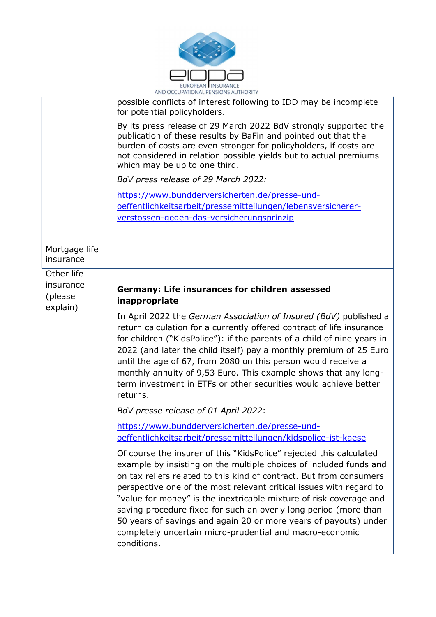

|                                                | AND OCCUPATIONAL PENSIONS AUTHORITY                                                                                                                                                                                                                                                                                                                                                                                                                                                                                                                                              |
|------------------------------------------------|----------------------------------------------------------------------------------------------------------------------------------------------------------------------------------------------------------------------------------------------------------------------------------------------------------------------------------------------------------------------------------------------------------------------------------------------------------------------------------------------------------------------------------------------------------------------------------|
|                                                | possible conflicts of interest following to IDD may be incomplete<br>for potential policyholders.                                                                                                                                                                                                                                                                                                                                                                                                                                                                                |
|                                                | By its press release of 29 March 2022 BdV strongly supported the<br>publication of these results by BaFin and pointed out that the<br>burden of costs are even stronger for policyholders, if costs are<br>not considered in relation possible yields but to actual premiums<br>which may be up to one third.                                                                                                                                                                                                                                                                    |
|                                                | BdV press release of 29 March 2022:                                                                                                                                                                                                                                                                                                                                                                                                                                                                                                                                              |
|                                                | https://www.bundderversicherten.de/presse-und-<br>oeffentlichkeitsarbeit/pressemitteilungen/lebensversicherer-                                                                                                                                                                                                                                                                                                                                                                                                                                                                   |
|                                                | verstossen-gegen-das-versicherungsprinzip                                                                                                                                                                                                                                                                                                                                                                                                                                                                                                                                        |
| Mortgage life<br>insurance                     |                                                                                                                                                                                                                                                                                                                                                                                                                                                                                                                                                                                  |
| Other life<br>insurance<br>(please<br>explain) | Germany: Life insurances for children assessed<br>inappropriate                                                                                                                                                                                                                                                                                                                                                                                                                                                                                                                  |
|                                                | In April 2022 the German Association of Insured (BdV) published a<br>return calculation for a currently offered contract of life insurance<br>for children ("KidsPolice"): if the parents of a child of nine years in<br>2022 (and later the child itself) pay a monthly premium of 25 Euro<br>until the age of 67, from 2080 on this person would receive a<br>monthly annuity of 9,53 Euro. This example shows that any long-<br>term investment in ETFs or other securities would achieve better<br>returns.                                                                  |
|                                                | BdV presse release of 01 April 2022:                                                                                                                                                                                                                                                                                                                                                                                                                                                                                                                                             |
|                                                | https://www.bundderversicherten.de/presse-und-<br>oeffentlichkeitsarbeit/pressemitteilungen/kidspolice-ist-kaese                                                                                                                                                                                                                                                                                                                                                                                                                                                                 |
|                                                | Of course the insurer of this "KidsPolice" rejected this calculated<br>example by insisting on the multiple choices of included funds and<br>on tax reliefs related to this kind of contract. But from consumers<br>perspective one of the most relevant critical issues with regard to<br>"value for money" is the inextricable mixture of risk coverage and<br>saving procedure fixed for such an overly long period (more than<br>50 years of savings and again 20 or more years of payouts) under<br>completely uncertain micro-prudential and macro-economic<br>conditions. |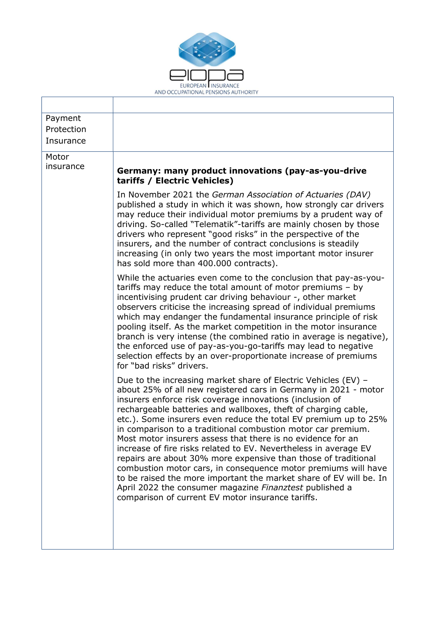

 $\overline{\phantom{a}}$ 

| Payment    |                                                                                                                                                                                                                                                                                                                                                                                                                                                                                                                                                                                                                                                                                                                                                                                                                                                                |
|------------|----------------------------------------------------------------------------------------------------------------------------------------------------------------------------------------------------------------------------------------------------------------------------------------------------------------------------------------------------------------------------------------------------------------------------------------------------------------------------------------------------------------------------------------------------------------------------------------------------------------------------------------------------------------------------------------------------------------------------------------------------------------------------------------------------------------------------------------------------------------|
| Protection |                                                                                                                                                                                                                                                                                                                                                                                                                                                                                                                                                                                                                                                                                                                                                                                                                                                                |
| Insurance  |                                                                                                                                                                                                                                                                                                                                                                                                                                                                                                                                                                                                                                                                                                                                                                                                                                                                |
| Motor      |                                                                                                                                                                                                                                                                                                                                                                                                                                                                                                                                                                                                                                                                                                                                                                                                                                                                |
| insurance  |                                                                                                                                                                                                                                                                                                                                                                                                                                                                                                                                                                                                                                                                                                                                                                                                                                                                |
|            | Germany: many product innovations (pay-as-you-drive<br>tariffs / Electric Vehicles)                                                                                                                                                                                                                                                                                                                                                                                                                                                                                                                                                                                                                                                                                                                                                                            |
|            | In November 2021 the German Association of Actuaries (DAV)<br>published a study in which it was shown, how strongly car drivers<br>may reduce their individual motor premiums by a prudent way of<br>driving. So-called "Telematik"-tariffs are mainly chosen by those<br>drivers who represent "good risks" in the perspective of the<br>insurers, and the number of contract conclusions is steadily<br>increasing (in only two years the most important motor insurer<br>has sold more than 400.000 contracts).                                                                                                                                                                                                                                                                                                                                             |
|            | While the actuaries even come to the conclusion that pay-as-you-<br>tariffs may reduce the total amount of motor premiums $-$ by<br>incentivising prudent car driving behaviour -, other market<br>observers criticise the increasing spread of individual premiums<br>which may endanger the fundamental insurance principle of risk<br>pooling itself. As the market competition in the motor insurance<br>branch is very intense (the combined ratio in average is negative),<br>the enforced use of pay-as-you-go-tariffs may lead to negative<br>selection effects by an over-proportionate increase of premiums<br>for "bad risks" drivers.                                                                                                                                                                                                              |
|            | Due to the increasing market share of Electric Vehicles (EV) -<br>about 25% of all new registered cars in Germany in 2021 - motor<br>insurers enforce risk coverage innovations (inclusion of<br>rechargeable batteries and wallboxes, theft of charging cable,<br>etc.). Some insurers even reduce the total EV premium up to 25%<br>in comparison to a traditional combustion motor car premium<br>Most motor insurers assess that there is no evidence for an<br>increase of fire risks related to EV. Nevertheless in average EV<br>repairs are about 30% more expensive than those of traditional<br>combustion motor cars, in consequence motor premiums will have<br>to be raised the more important the market share of EV will be. In<br>April 2022 the consumer magazine Finanztest published a<br>comparison of current EV motor insurance tariffs. |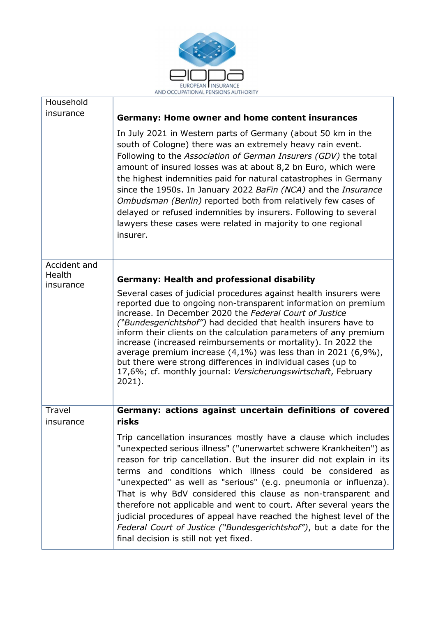

٦

l,

| Household              |                                                                                                                                                                                                                                                                                                                                                                                                                                                                                                                                                                                                                                                                                |
|------------------------|--------------------------------------------------------------------------------------------------------------------------------------------------------------------------------------------------------------------------------------------------------------------------------------------------------------------------------------------------------------------------------------------------------------------------------------------------------------------------------------------------------------------------------------------------------------------------------------------------------------------------------------------------------------------------------|
| insurance              | <b>Germany: Home owner and home content insurances</b>                                                                                                                                                                                                                                                                                                                                                                                                                                                                                                                                                                                                                         |
|                        | In July 2021 in Western parts of Germany (about 50 km in the<br>south of Cologne) there was an extremely heavy rain event.<br>Following to the Association of German Insurers (GDV) the total<br>amount of insured losses was at about 8,2 bn Euro, which were<br>the highest indemnities paid for natural catastrophes in Germany<br>since the 1950s. In January 2022 BaFin (NCA) and the Insurance<br>Ombudsman (Berlin) reported both from relatively few cases of<br>delayed or refused indemnities by insurers. Following to several<br>lawyers these cases were related in majority to one regional<br>insurer.                                                          |
| Accident and<br>Health |                                                                                                                                                                                                                                                                                                                                                                                                                                                                                                                                                                                                                                                                                |
| insurance              | <b>Germany: Health and professional disability</b>                                                                                                                                                                                                                                                                                                                                                                                                                                                                                                                                                                                                                             |
|                        | Several cases of judicial procedures against health insurers were<br>reported due to ongoing non-transparent information on premium<br>increase. In December 2020 the Federal Court of Justice<br>("Bundesgerichtshof") had decided that health insurers have to<br>inform their clients on the calculation parameters of any premium<br>increase (increased reimbursements or mortality). In 2022 the<br>average premium increase $(4,1\%)$ was less than in 2021 $(6,9\%)$ ,<br>but there were strong differences in individual cases (up to<br>17,6%; cf. monthly journal: Versicherungswirtschaft, February<br>$2021$ ).                                                   |
| Travel<br>insurance    | Germany: actions against uncertain definitions of covered<br>risks                                                                                                                                                                                                                                                                                                                                                                                                                                                                                                                                                                                                             |
|                        | Trip cancellation insurances mostly have a clause which includes<br>"unexpected serious illness" ("unerwartet schwere Krankheiten") as<br>reason for trip cancellation. But the insurer did not explain in its<br>terms and conditions which illness could be considered as<br>"unexpected" as well as "serious" (e.g. pneumonia or influenza).<br>That is why BdV considered this clause as non-transparent and<br>therefore not applicable and went to court. After several years the<br>judicial procedures of appeal have reached the highest level of the<br>Federal Court of Justice ("Bundesgerichtshof"), but a date for the<br>final decision is still not yet fixed. |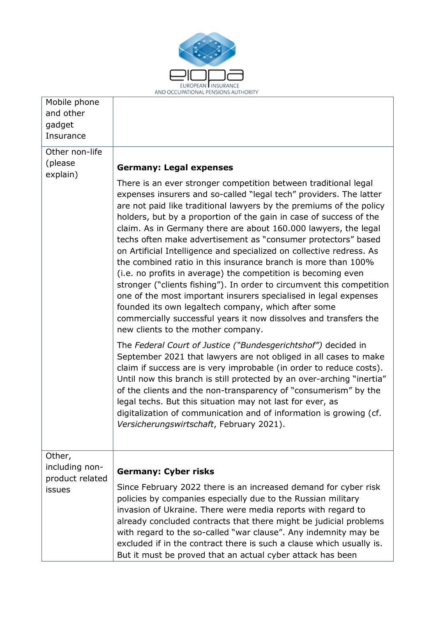

٦

l,

| Mobile phone<br>and other<br>gadget<br>Insurance      |                                                                                                                                                                                                                                                                                                                                                                                                                                                                                                                                                                                                                                                                                                                                                                                                                                                                                                                                                |
|-------------------------------------------------------|------------------------------------------------------------------------------------------------------------------------------------------------------------------------------------------------------------------------------------------------------------------------------------------------------------------------------------------------------------------------------------------------------------------------------------------------------------------------------------------------------------------------------------------------------------------------------------------------------------------------------------------------------------------------------------------------------------------------------------------------------------------------------------------------------------------------------------------------------------------------------------------------------------------------------------------------|
| Other non-life<br>(please                             | <b>Germany: Legal expenses</b>                                                                                                                                                                                                                                                                                                                                                                                                                                                                                                                                                                                                                                                                                                                                                                                                                                                                                                                 |
| explain)                                              | There is an ever stronger competition between traditional legal<br>expenses insurers and so-called "legal tech" providers. The latter<br>are not paid like traditional lawyers by the premiums of the policy<br>holders, but by a proportion of the gain in case of success of the<br>claim. As in Germany there are about 160.000 lawyers, the legal<br>techs often make advertisement as "consumer protectors" based<br>on Artificial Intelligence and specialized on collective redress. As<br>the combined ratio in this insurance branch is more than 100%<br>(i.e. no profits in average) the competition is becoming even<br>stronger ("clients fishing"). In order to circumvent this competition<br>one of the most important insurers specialised in legal expenses<br>founded its own legaltech company, which after some<br>commercially successful years it now dissolves and transfers the<br>new clients to the mother company. |
|                                                       | The Federal Court of Justice ("Bundesgerichtshof") decided in<br>September 2021 that lawyers are not obliged in all cases to make<br>claim if success are is very improbable (in order to reduce costs).<br>Until now this branch is still protected by an over-arching "inertia"<br>of the clients and the non-transparency of "consumerism" by the<br>legal techs. But this situation may not last for ever, as<br>digitalization of communication and of information is growing (cf.<br>Versicherungswirtschaft, February 2021).                                                                                                                                                                                                                                                                                                                                                                                                            |
| Other,<br>including non-<br>product related<br>issues | <b>Germany: Cyber risks</b>                                                                                                                                                                                                                                                                                                                                                                                                                                                                                                                                                                                                                                                                                                                                                                                                                                                                                                                    |
|                                                       | Since February 2022 there is an increased demand for cyber risk<br>policies by companies especially due to the Russian military<br>invasion of Ukraine. There were media reports with regard to<br>already concluded contracts that there might be judicial problems<br>with regard to the so-called "war clause". Any indemnity may be<br>excluded if in the contract there is such a clause which usually is.<br>But it must be proved that an actual cyber attack has been                                                                                                                                                                                                                                                                                                                                                                                                                                                                  |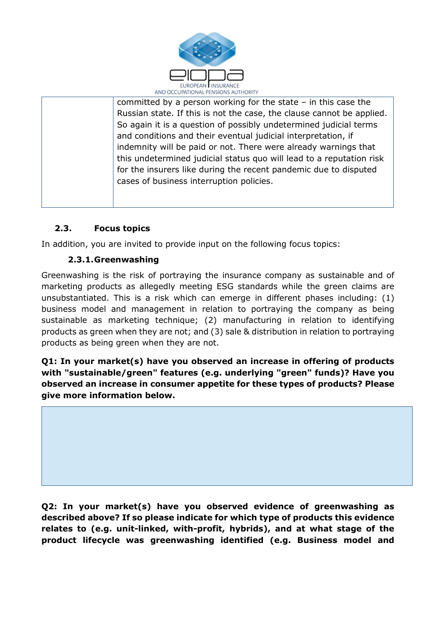

 $\overline{a}$ committed by a person working for the state – in this case the Russian state. If this is not the case, the clause cannot be applied. So again it is a question of possibly undetermined judicial terms and conditions and their eventual judicial interpretation, if indemnity will be paid or not. There were already warnings that this undetermined judicial status quo will lead to a reputation risk for the insurers like during the recent pandemic due to disputed cases of business interruption policies.

# 2.3. Focus topics

In addition, you are invited to provide input on the following focus topics:

# 2.3.1.Greenwashing

Greenwashing is the risk of portraying the insurance company as sustainable and of marketing products as allegedly meeting ESG standards while the green claims are unsubstantiated. This is a risk which can emerge in different phases including: (1) business model and management in relation to portraying the company as being sustainable as marketing technique; (2) manufacturing in relation to identifying products as green when they are not; and (3) sale & distribution in relation to portraying products as being green when they are not.

Q1: In your market(s) have you observed an increase in offering of products with "sustainable/green" features (e.g. underlying "green" funds)? Have you observed an increase in consumer appetite for these types of products? Please give more information below.

Q2: In your market(s) have you observed evidence of greenwashing as described above? If so please indicate for which type of products this evidence relates to (e.g. unit-linked, with-profit, hybrids), and at what stage of the product lifecycle was greenwashing identified (e.g. Business model and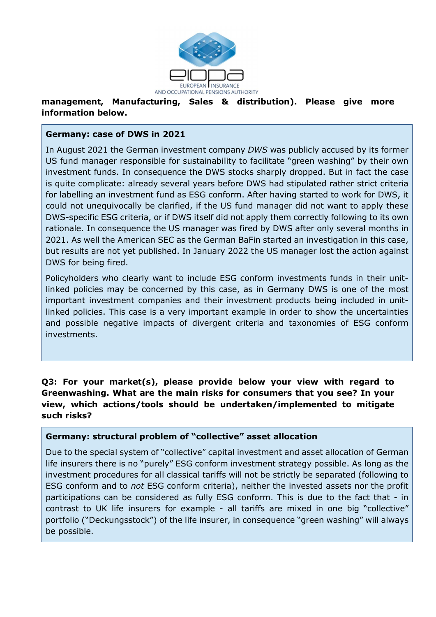

AND OCCUPATIONAL PENSIONS AUTHORITY<br>management, Manufacturing, Sales & distribution). Please give more information below.

#### Germany: case of DWS in 2021

In August 2021 the German investment company DWS was publicly accused by its former US fund manager responsible for sustainability to facilitate "green washing" by their own investment funds. In consequence the DWS stocks sharply dropped. But in fact the case is quite complicate: already several years before DWS had stipulated rather strict criteria for labelling an investment fund as ESG conform. After having started to work for DWS, it could not unequivocally be clarified, if the US fund manager did not want to apply these DWS-specific ESG criteria, or if DWS itself did not apply them correctly following to its own rationale. In consequence the US manager was fired by DWS after only several months in 2021. As well the American SEC as the German BaFin started an investigation in this case, but results are not yet published. In January 2022 the US manager lost the action against DWS for being fired.

Policyholders who clearly want to include ESG conform investments funds in their unitlinked policies may be concerned by this case, as in Germany DWS is one of the most important investment companies and their investment products being included in unitlinked policies. This case is a very important example in order to show the uncertainties and possible negative impacts of divergent criteria and taxonomies of ESG conform investments.

## Q3: For your market(s), please provide below your view with regard to Greenwashing. What are the main risks for consumers that you see? In your view, which actions/tools should be undertaken/implemented to mitigate such risks?

#### Germany: structural problem of "collective" asset allocation

Due to the special system of "collective" capital investment and asset allocation of German life insurers there is no "purely" ESG conform investment strategy possible. As long as the investment procedures for all classical tariffs will not be strictly be separated (following to ESG conform and to not ESG conform criteria), neither the invested assets nor the profit participations can be considered as fully ESG conform. This is due to the fact that - in contrast to UK life insurers for example - all tariffs are mixed in one big "collective" portfolio ("Deckungsstock") of the life insurer, in consequence "green washing" will always be possible.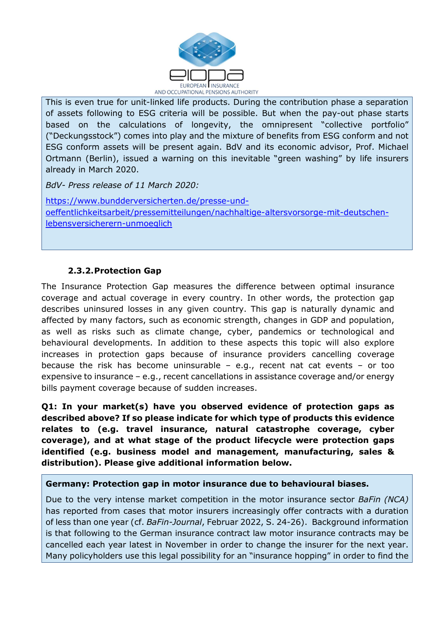

This is even true for unit-linked life products. During the contribution phase a separation of assets following to ESG criteria will be possible. But when the pay-out phase starts based on the calculations of longevity, the omnipresent "collective portfolio" ("Deckungsstock") comes into play and the mixture of benefits from ESG conform and not ESG conform assets will be present again. BdV and its economic advisor, Prof. Michael Ortmann (Berlin), issued a warning on this inevitable "green washing" by life insurers already in March 2020.

BdV- Press release of 11 March 2020:

l.

https://www.bundderversicherten.de/presse-undoeffentlichkeitsarbeit/pressemitteilungen/nachhaltige-altersvorsorge-mit-deutschenlebensversicherern-unmoeglich

# 2.3.2.Protection Gap

The Insurance Protection Gap measures the difference between optimal insurance coverage and actual coverage in every country. In other words, the protection gap describes uninsured losses in any given country. This gap is naturally dynamic and affected by many factors, such as economic strength, changes in GDP and population, as well as risks such as climate change, cyber, pandemics or technological and behavioural developments. In addition to these aspects this topic will also explore increases in protection gaps because of insurance providers cancelling coverage because the risk has become uninsurable  $-$  e.g., recent nat cat events  $-$  or too expensive to insurance – e.g., recent cancellations in assistance coverage and/or energy bills payment coverage because of sudden increases.

Q1: In your market(s) have you observed evidence of protection gaps as described above? If so please indicate for which type of products this evidence relates to (e.g. travel insurance, natural catastrophe coverage, cyber coverage), and at what stage of the product lifecycle were protection gaps identified (e.g. business model and management, manufacturing, sales & distribution). Please give additional information below.

## Germany: Protection gap in motor insurance due to behavioural biases.

Due to the very intense market competition in the motor insurance sector *BaFin (NCA)* has reported from cases that motor insurers increasingly offer contracts with a duration of less than one year (cf. BaFin-Journal, Februar 2022, S. 24-26). Background information is that following to the German insurance contract law motor insurance contracts may be cancelled each year latest in November in order to change the insurer for the next year. Many policyholders use this legal possibility for an "insurance hopping" in order to find the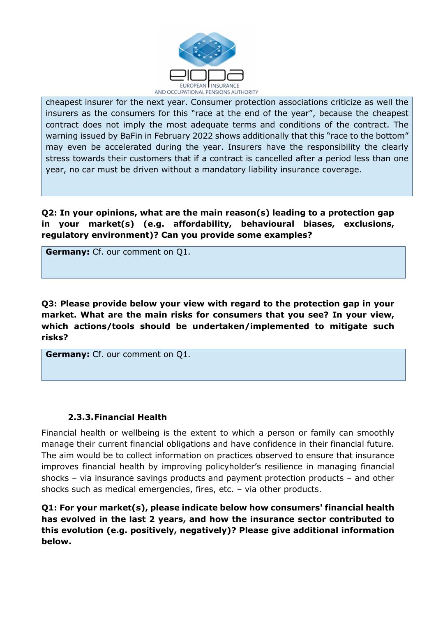

cheapest insurer for the next year. Consumer protection associations criticize as well the insurers as the consumers for this "race at the end of the year", because the cheapest contract does not imply the most adequate terms and conditions of the contract. The warning issued by BaFin in February 2022 shows additionally that this "race to the bottom" may even be accelerated during the year. Insurers have the responsibility the clearly stress towards their customers that if a contract is cancelled after a period less than one year, no car must be driven without a mandatory liability insurance coverage.

Q2: In your opinions, what are the main reason(s) leading to a protection gap in your market(s) (e.g. affordability, behavioural biases, exclusions, regulatory environment)? Can you provide some examples?

Germany: Cf. our comment on Q1.

l.

Q3: Please provide below your view with regard to the protection gap in your market. What are the main risks for consumers that you see? In your view, which actions/tools should be undertaken/implemented to mitigate such risks?

Germany: Cf. our comment on Q1.

## 2.3.3.Financial Health

Financial health or wellbeing is the extent to which a person or family can smoothly manage their current financial obligations and have confidence in their financial future. The aim would be to collect information on practices observed to ensure that insurance improves financial health by improving policyholder's resilience in managing financial shocks – via insurance savings products and payment protection products – and other shocks such as medical emergencies, fires, etc. – via other products.

Q1: For your market(s), please indicate below how consumers' financial health has evolved in the last 2 years, and how the insurance sector contributed to this evolution (e.g. positively, negatively)? Please give additional information below.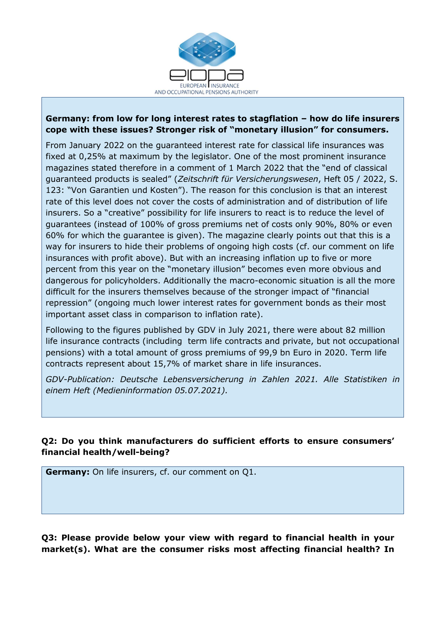

L

#### Germany: from low for long interest rates to stagflation – how do life insurers cope with these issues? Stronger risk of "monetary illusion" for consumers.

From January 2022 on the guaranteed interest rate for classical life insurances was fixed at 0,25% at maximum by the legislator. One of the most prominent insurance magazines stated therefore in a comment of 1 March 2022 that the "end of classical guaranteed products is sealed" (Zeitschrift für Versicherungswesen, Heft 05 / 2022, S. 123: "Von Garantien und Kosten"). The reason for this conclusion is that an interest rate of this level does not cover the costs of administration and of distribution of life insurers. So a "creative" possibility for life insurers to react is to reduce the level of guarantees (instead of 100% of gross premiums net of costs only 90%, 80% or even 60% for which the guarantee is given). The magazine clearly points out that this is a way for insurers to hide their problems of ongoing high costs (cf. our comment on life insurances with profit above). But with an increasing inflation up to five or more percent from this year on the "monetary illusion" becomes even more obvious and dangerous for policyholders. Additionally the macro-economic situation is all the more difficult for the insurers themselves because of the stronger impact of "financial repression" (ongoing much lower interest rates for government bonds as their most important asset class in comparison to inflation rate).

Following to the figures published by GDV in July 2021, there were about 82 million life insurance contracts (including term life contracts and private, but not occupational pensions) with a total amount of gross premiums of 99,9 bn Euro in 2020. Term life contracts represent about 15,7% of market share in life insurances.

GDV-Publication: Deutsche Lebensversicherung in Zahlen 2021. Alle Statistiken in einem Heft (Medieninformation 05.07.2021).

# Q2: Do you think manufacturers do sufficient efforts to ensure consumers' financial health/well-being?

Germany: On life insurers, cf. our comment on Q1.

Q3: Please provide below your view with regard to financial health in your market(s). What are the consumer risks most affecting financial health? In